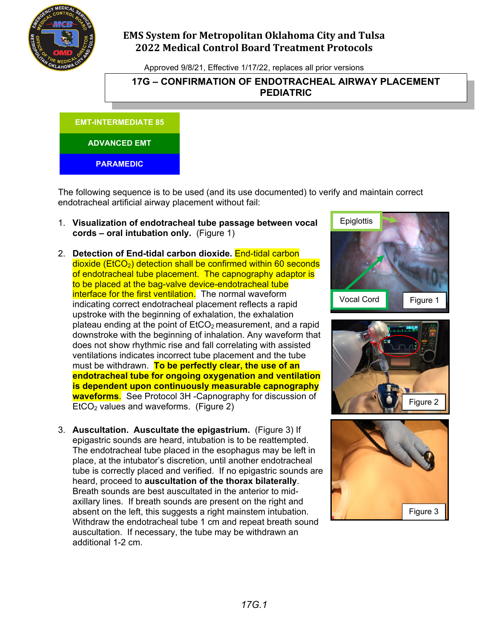

# **EMS System for Metropolitan Oklahoma City and Tulsa 2022 Medical Control Board Treatment Protocols**

Approved 9/8/21, Effective 1/17/22, replaces all prior versions

### **17G – CONFIRMATION OF ENDOTRACHEAL AIRWAY PLACEMENT PEDIATRIC**

**EMT-INTERMEDIATE 85**

#### **ADVANCED EMT**

**PARAMEDIC**

The following sequence is to be used (and its use documented) to verify and maintain correct endotracheal artificial airway placement without fail:

- 1. **Visualization of endotracheal tube passage between vocal cords – oral intubation only.** (Figure 1)
- 2. **Detection of End-tidal carbon dioxide.** End-tidal carbon dioxide (EtCO<sub>2</sub>) detection shall be confirmed within 60 seconds of endotracheal tube placement. The capnography adaptor is to be placed at the bag-valve device-endotracheal tube interface for the first ventilation. The normal waveform indicating correct endotracheal placement reflects a rapid upstroke with the beginning of exhalation, the exhalation plateau ending at the point of  $E<sub>1</sub>CO<sub>2</sub>$  measurement, and a rapid downstroke with the beginning of inhalation. Any waveform that does not show rhythmic rise and fall correlating with assisted ventilations indicates incorrect tube placement and the tube must be withdrawn. **To be perfectly clear, the use of an endotracheal tube for ongoing oxygenation and ventilation is dependent upon continuously measurable capnography waveforms**. See Protocol 3H -Capnography for discussion of  $E<sub>1</sub>ECO<sub>2</sub>$  values and waveforms. (Figure 2)
- 3. **Auscultation. Auscultate the epigastrium.** (Figure 3) If epigastric sounds are heard, intubation is to be reattempted. The endotracheal tube placed in the esophagus may be left in place, at the intubator's discretion, until another endotracheal tube is correctly placed and verified. If no epigastric sounds are heard, proceed to **auscultation of the thorax bilaterally**. Breath sounds are best auscultated in the anterior to midaxillary lines. If breath sounds are present on the right and absent on the left, this suggests a right mainstem intubation. Withdraw the endotracheal tube 1 cm and repeat breath sound auscultation. If necessary, the tube may be withdrawn an additional 1-2 cm.